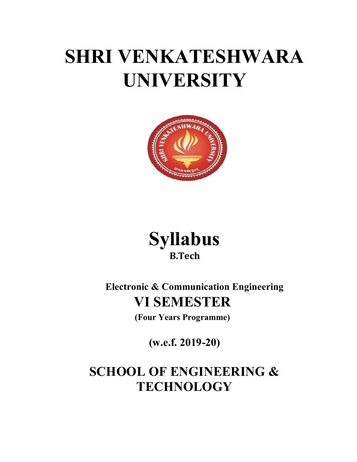# SHRI VENKATESHWARA UNIVERSITY





Electronic & Communication Engineering VI SEMESTER

(Four Years Programme)

(w.e.f. 2019-20)

# SCHOOL OF ENGINEERING & **TECHNOLOGY**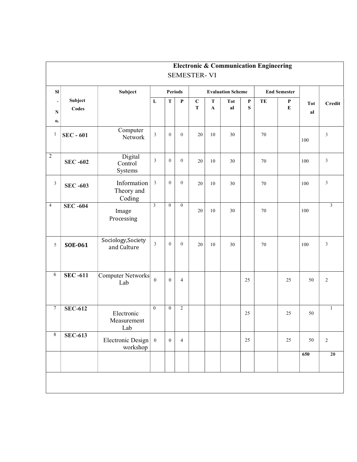|                              |                  |                                                 |                  |                |                |                          |                           |                          |                           | <b>Electronic &amp; Communication Engineering</b> |                     |                  |                         |
|------------------------------|------------------|-------------------------------------------------|------------------|----------------|----------------|--------------------------|---------------------------|--------------------------|---------------------------|---------------------------------------------------|---------------------|------------------|-------------------------|
|                              |                  |                                                 |                  |                |                | <b>SEMESTER-VI</b>       |                           |                          |                           |                                                   |                     |                  |                         |
| SI                           |                  | Subject                                         |                  | Periods        |                |                          |                           | <b>Evaluation Scheme</b> |                           |                                                   | <b>End Semester</b> |                  |                         |
| $\bullet$<br>${\bf N}$<br>0. | Subject<br>Codes |                                                 | $\mathbf{L}$     | T              | $\mathbf P$    | $\mathbf C$<br>${\bf T}$ | ${\bf T}$<br>$\mathbf{A}$ | <b>Tot</b><br>a          | $\mathbf{P}$<br>${\bf S}$ | TE                                                | P<br>E              | <b>Tot</b><br>al | <b>Credit</b>           |
| 1                            | <b>SEC - 601</b> | Computer<br>Network                             | $\overline{3}$   | $\overline{0}$ | $\overline{0}$ | $20\,$                   | $10\,$                    | 30                       |                           | 70                                                |                     | 100              | $\mathfrak{Z}$          |
| $\sqrt{2}$                   | <b>SEC-602</b>   | Digital<br>Control<br>Systems                   | $\mathfrak{Z}$   | $\overline{0}$ | $\overline{0}$ | 20                       | 10                        | 30                       |                           | 70                                                |                     | 100              | $\mathfrak z$           |
| $\mathfrak{Z}$               | <b>SEC -603</b>  | Information<br>Theory and<br>Coding             | $\mathfrak{Z}$   | $\theta$       | $\overline{0}$ | 20                       | $10\,$                    | 30                       |                           | 70                                                |                     | 100              | $\mathfrak{Z}$          |
| $\overline{4}$               | <b>SEC-604</b>   | Image<br>Processing                             | $\overline{3}$   | $\mathbf{0}$   | $\overline{0}$ | 20                       | 10                        | 30                       |                           | 70                                                |                     | 100              | $\overline{\mathbf{3}}$ |
| 5                            | <b>SOE-061</b>   | Sociology, Society<br>and Culture               | $\overline{3}$   | $\overline{0}$ | $\overline{0}$ | 20                       | 10                        | 30                       |                           | 70                                                |                     | 100              | $\mathfrak z$           |
| 6                            | <b>SEC-611</b>   | Computer Networks<br>Lab                        | $\boldsymbol{0}$ | $\overline{0}$ | $\overline{4}$ |                          |                           |                          | 25                        |                                                   | 25                  | 50               | $\overline{c}$          |
| $\tau$                       | <b>SEC-612</b>   | Electronic<br>Measurement<br>Lab                | $\mathbf{0}$     | $\mathbf{0}$   | $\overline{2}$ |                          |                           |                          | 25                        |                                                   | 25                  | 50               | 1                       |
| 8                            | <b>SEC-613</b>   | Electronic Design $\vert 0 \rangle$<br>workshop |                  | $\overline{0}$ | $\overline{4}$ |                          |                           |                          | 25                        |                                                   | 25                  | 50               | $\overline{2}$          |
|                              |                  |                                                 |                  |                |                |                          |                           |                          |                           |                                                   |                     | 650              | 20                      |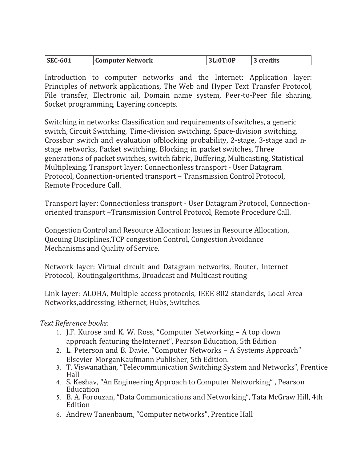| <b>SEC-601</b> | <b>Computer Network</b> | 3L:0T:0P | 3 credits |
|----------------|-------------------------|----------|-----------|
|----------------|-------------------------|----------|-----------|

Introduction to computer networks and the Internet: Application layer: Principles of network applications, The Web and Hyper Text Transfer Protocol, File transfer, Electronic ail, Domain name system, Peer-to-Peer file sharing, Socket programming, Layering concepts.

Switching in networks: Classification and requirements of switches, a generic switch, Circuit Switching, Time-division switching, Space-division switching, Crossbar switch and evaluation of blocking probability, 2-stage, 3-stage and nstage networks, Packet switching, Blocking in packet switches, Three generations of packet switches, switch fabric, Buffering, Multicasting, Statistical Multiplexing. Transport layer: Connectionless transport - User Datagram Protocol, Connection- oriented transport – Transmission Control Protocol, Remote Procedure Call.

Transport layer: Connectionless transport - User Datagram Protocol, Connectionoriented transport – Transmission Control Protocol, Remote Procedure Call.

Congestion Control and Resource Allocation: Issues in Resource Allocation, Queuing Disciplines, TCP congestion Control, Congestion Avoidance Mechanisms and Quality of Service.

Network layer: Virtual circuit and Datagram networks, Router, Internet Protocol, Routing algorithms, Broadcast and Multicast routing

Link layer: ALOHA, Multiple access protocols, IEEE 802 standards, Local Area Networks, addressing, Ethernet, Hubs, Switches.

### Text Reference books:

- 1. J.F. Kurose and K. W. Ross, "Computer Networking A top down approach featuring the Internet", Pearson Education, 5th Edition
- 2. L. Peterson and B. Davie, "Computer Networks A Systems Approach" Elsevier Morgan Kaufmann Publisher, 5th Edition.
- 3. T. Viswanathan, "Telecommunication Switching System and Networks", Prentice Hall
- 4. S. Keshav, "An Engineering Approach to Computer Networking" , Pearson Education
- 5. B. A. Forouzan, "Data Communications and Networking", Tata McGraw Hill, 4th Edition
- 6. Andrew Tanenbaum, "Computer networks", Prentice Hall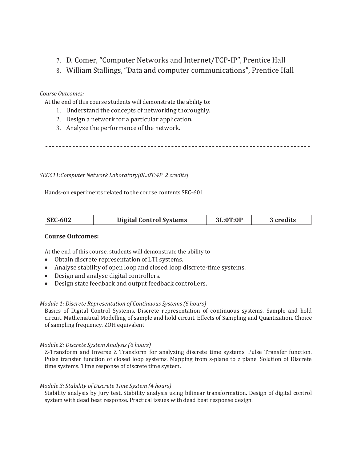- 7. D. Comer, "Computer Networks and Internet/TCP-IP", Prentice Hall
- 8. William Stallings, "Data and computer communications", Prentice Hall

#### Course Outcomes:

At the end of this course students will demonstrate the ability to:

- 1. Understand the concepts of networking thoroughly.
- 2. Design a network for a particular application.
- 3. Analyze the performance of the network.

#### SEC611:Computer Network Laboratory[0L:0T:4P 2 credits]

Hands-on experiments related to the course contents SEC-601

#### Course Outcomes:

At the end of this course, students will demonstrate the ability to

- Obtain discrete representation of LTI systems.
- Analyse stability of open loop and closed loop discrete-time systems.
- Design and analyse digital controllers.
- Design state feedback and output feedback controllers.

#### Module 1: Discrete Representation of Continuous Systems (6 hours)

Basics of Digital Control Systems. Discrete representation of continuous systems. Sample and hold circuit. Mathematical Modelling of sample and hold circuit. Effects of Sampling and Quantization. Choice of sampling frequency. ZOH equivalent.

#### Module 2: Discrete System Analysis (6 hours)

Z-Transform and Inverse Z Transform for analyzing discrete time systems. Pulse Transfer function. Pulse transfer function of closed loop systems. Mapping from s-plane to z plane. Solution of Discrete time systems. Time response of discrete time system.

#### Module 3: Stability of Discrete Time System (4 hours)

Stability analysis by Jury test. Stability analysis using bilinear transformation. Design of digital control system with dead beat response. Practical issues with dead beat response design.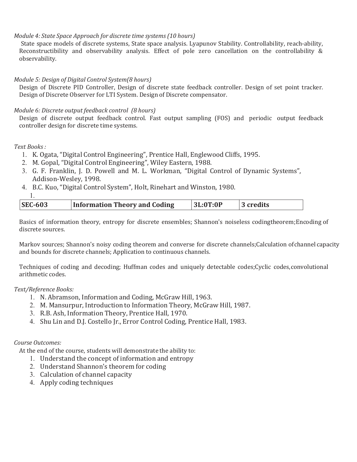#### Module 4: State Space Approach for discrete time systems (10 hours)

State space models of discrete systems, State space analysis. Lyapunov Stability. Controllability, reach-ability, Reconstructibility and observability analysis. Effect of pole zero cancellation on the controllability & observability.

#### Module 5: Design of Digital Control System(8 hours)

Design of Discrete PID Controller, Design of discrete state feedback controller. Design of set point tracker. Design of Discrete Observer for LTI System. Design of Discrete compensator.

#### Module 6: Discrete output feedback control (8 hours)

Design of discrete output feedback control. Fast output sampling (FOS) and periodic output feedback controller design for discrete time systems.

#### Text Books :

- 1. K. Ogata, "Digital Control Engineering", Prentice Hall, Englewood Cliffs, 1995.
- 2. M. Gopal, "Digital Control Engineering", Wiley Eastern, 1988.
- 3. G. F. Franklin, J. D. Powell and M. L. Workman, "Digital Control of Dynamic Systems", Addison-Wesley, 1998.
- 4. B.C. Kuo, "Digital Control System", Holt, Rinehart and Winston, 1980.
- 1.

| <b>SEC-603</b><br><b>Information Theory and Coding</b> | 3L:0T:0P | 3 credits |
|--------------------------------------------------------|----------|-----------|
|--------------------------------------------------------|----------|-----------|

Basics of information theory, entropy for discrete ensembles; Shannon's noiseless codingtheorem; Encoding of discrete sources.

Markov sources; Shannon's noisy coding theorem and converse for discrete channels; Calculation of channel capacity and bounds for discrete channels; Application to continuous channels.

Techniques of coding and decoding; Huffman codes and uniquely detectable codes;Cyclic codes, convolutional arithmetic codes.

#### Text/Reference Books:

- 1. N. Abramson, Information and Coding, McGraw Hill, 1963.
- 2. M. Mansurpur, Introduction to Information Theory, McGraw Hill, 1987.
- 3. R.B. Ash, Information Theory, Prentice Hall, 1970.
- 4. Shu Lin and D.J. Costello Jr., Error Control Coding, Prentice Hall, 1983.

#### Course Outcomes:

At the end of the course, students will demonstrate the ability to:

- 1. Understand the concept of information and entropy
- 2. Understand Shannon's theorem for coding
- 3. Calculation of channel capacity
- 4. Apply coding techniques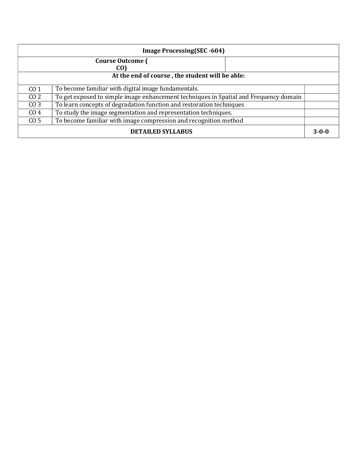| <b>Image Processing (SEC -604)</b>                                                      |                                                                                       |  |  |  |  |  |
|-----------------------------------------------------------------------------------------|---------------------------------------------------------------------------------------|--|--|--|--|--|
|                                                                                         | <b>Course Outcome (</b>                                                               |  |  |  |  |  |
| CO)                                                                                     |                                                                                       |  |  |  |  |  |
| At the end of course, the student will be able:                                         |                                                                                       |  |  |  |  |  |
| CO <sub>1</sub>                                                                         | To become familiar with digital image fundamentals.                                   |  |  |  |  |  |
| CO <sub>2</sub>                                                                         | To get exposed to simple image enhancement techniques in Spatial and Frequency domain |  |  |  |  |  |
| To learn concepts of degradation function and restoration techniques<br>CO <sub>3</sub> |                                                                                       |  |  |  |  |  |
| CO <sub>4</sub>                                                                         | To study the image segmentation and representation techniques.                        |  |  |  |  |  |
| CO <sub>5</sub>                                                                         | To become familiar with image compression and recognition method                      |  |  |  |  |  |
| <b>DETAILED SYLLABUS</b>                                                                |                                                                                       |  |  |  |  |  |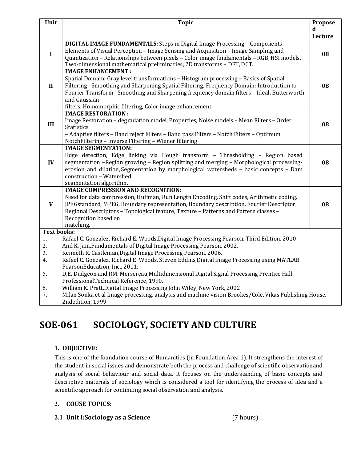| Unit                       | <b>Topic</b>                                                                                                                                                                                                                                                                                                                                                                                                                                                                                               | Propose |
|----------------------------|------------------------------------------------------------------------------------------------------------------------------------------------------------------------------------------------------------------------------------------------------------------------------------------------------------------------------------------------------------------------------------------------------------------------------------------------------------------------------------------------------------|---------|
|                            |                                                                                                                                                                                                                                                                                                                                                                                                                                                                                                            | d       |
|                            | <b>DIGITAL IMAGE FUNDAMENTALS:</b> Steps in Digital Image Processing - Components -                                                                                                                                                                                                                                                                                                                                                                                                                        | Lecture |
| L                          | Elements of Visual Perception - Image Sensing and Acquisition - Image Sampling and<br>Quantization - Relationships between pixels - Color image fundamentals - RGB, HSI models,<br>Two-dimensional mathematical preliminaries, 2D transforms - DFT, DCT.                                                                                                                                                                                                                                                   | 08      |
| $\mathbf{I}$               | <b>IMAGE ENHANCEMENT:</b><br>Spatial Domain: Gray level transformations - Histogram processing - Basics of Spatial<br>Filtering-Smoothing and Sharpening Spatial Filtering, Frequency Domain: Introduction to<br>Fourier Transform-Smoothing and Sharpening frequency domain filters - Ideal, Butterworth<br>and Gaussian<br>filters, Homomorphic filtering, Color image enhancement.                                                                                                                      | 08      |
| III                        | <b>IMAGE RESTORATION:</b><br>Image Restoration - degradation model, Properties, Noise models - Mean Filters - Order<br><b>Statistics</b><br>- Adaptive filters - Band reject Filters - Band pass Filters - Notch Filters - Optimum<br>NotchFiltering - Inverse Filtering - Wiener filtering                                                                                                                                                                                                                | 08      |
| $\bf{IV}$                  | <b>IMAGE SEGMENTATION:</b><br>Edge detection, Edge linking via Hough transform - Thresholding - Region based<br>segmentation - Region growing - Region splitting and merging - Morphological processing-<br>erosion and dilation, Segmentation by morphological watersheds - basic concepts - Dam<br>construction - Watershed<br>segmentation algorithm.                                                                                                                                                   | 08      |
| $\mathbf{V}$               | <b>IMAGE COMPRESSION AND RECOGNITION:</b><br>Need for data compression, Huffman, Run Length Encoding, Shift codes, Arithmetic coding,<br>JPEGstandard, MPEG. Boundary representation, Boundary description, Fourier Descriptor,<br>Regional Descriptors - Topological feature, Texture - Patterns and Pattern classes -<br>Recognition based on<br>matching.                                                                                                                                               | 08      |
| <b>Text books:</b>         |                                                                                                                                                                                                                                                                                                                                                                                                                                                                                                            |         |
| 1.<br>2.<br>3.<br>4.<br>5. | Rafael C. Gonzalez, Richard E. Woods, Digital Image Processing Pearson, Third Edition, 2010<br>Anil K. Jain, Fundamentals of Digital Image Processing Pearson, 2002.<br>Kenneth R. Castleman, Digital Image Processing Pearson, 2006.<br>Rafael C. Gonzalez, Richard E. Woods, Steven Eddins, Digital Image Processing using MATLAB<br>PearsonEducation, Inc., 2011.<br>D,E. Dudgeon and RM. Mersereau, Multidimensional Digital Signal Processing Prentice Hall<br>ProfessionalTechnical Reference, 1990. |         |
| 6.<br>7.                   | William K. Pratt, Digital Image Processing John Wiley, New York, 2002<br>Milan Sonka et al Image processing, analysis and machine vision Brookes/Cole, Vikas Publishing House,<br>2ndedition, 1999                                                                                                                                                                                                                                                                                                         |         |

## SOE-061 SOCIOLOGY, SOCIETY AND CULTURE

### 1. OBJECTIVE:

This is one of the foundation course of Humanities (in Foundation Area 1). It strengthens the interest of the student in social issues and demonstrate both the process and challenge of scientific observation and analysis of social behaviour and social data. It focuses on the understanding of basic concepts and descriptive materials of sociology which is considered a tool for identifying the process of idea and a scientific approach for continuing social observation and analysis.

#### 2. COUSE TOPICS:

2.1 Unit I:Sociology as a Science (7 hours)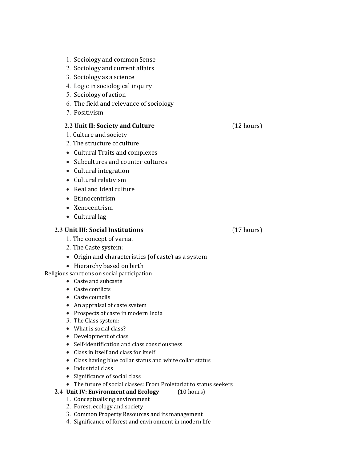- 1. Sociology and common Sense
- 2. Sociology and current affairs
- 3. Sociology as a science
- 4. Logic in sociological inquiry
- 5. Sociology of action
- 6. The field and relevance of sociology
- 7. Positivism

#### 2.2 Unit II: Society and Culture (12 hours)

- 1. Culture and society
- 2. The structure of culture
- Cultural Traits and complexes
- Subcultures and counter cultures
- Cultural integration
- Cultural relativism
- Real and Ideal culture
- Ethnocentrism
- Xenocentrism
- Cultural lag

#### 2.3 Unit III: Social Institutions (17 hours)

1. The concept of varna.

- 2. The Caste system:
- Origin and characteristics (of caste) as a system
- Hierarchy based on birth
- Religious sanctions on social participation
	- Caste and subcaste
	- Caste conflicts
	- Caste councils
	- An appraisal of caste system
	- Prospects of caste in modern India
	- 3. The Class system:
	- What is social class?
	- Development of class
	- Self-identification and class consciousness
	- Class in itself and class for itself
	- Class having blue collar status and white collar status
	- Industrial class
	- Significance of social class
	- The future of social classes: From Proletariat to status seekers
	- 2.4 Unit IV: Environment and Ecology (10 hours)
		- 1. Conceptualising environment
		- 2. Forest, ecology and society
		- 3. Common Property Resources and its management
		- 4. Significance of forest and environment in modern life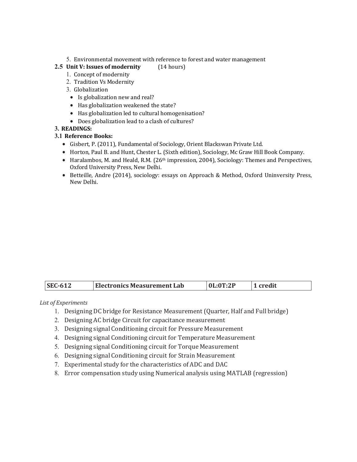5. Environmental movement with reference to forest and water management

#### 2.5 Unit V: Issues of modernity (14 hours)

#### 1. Concept of modernity

- 2. Tradition Vs Modernity
- 3. Globalization
	- Is globalization new and real?
	- Has globalization weakened the state?
- Has globalization led to cultural homogenisation?
- Does globalization lead to a clash of cultures?

#### 3. READINGS:

#### 3.1 Reference Books:

- Gisbert, P. (2011), Fundamental of Sociology, Orient Blackswan Private Ltd.
- Horton, Paul B. and Hunt, Chester L. (Sixth edition), Sociology, Mc Graw Hill Book Company.
- $\bullet$  Haralambos, M. and Heald, R.M. (26<sup>th</sup> impression, 2004), Sociology: Themes and Perspectives, Oxford University Press, New Delhi.
- Betteille, Andre (2014), sociology: essays on Approach & Method, Oxford Uninversity Press, New Delhi.

| credit<br><b>Electronics Measurement Lab</b><br><b>SEC-612</b><br>0L:0T:2P |
|----------------------------------------------------------------------------|
|----------------------------------------------------------------------------|

#### List of Experiments

- 1. Designing DC bridge for Resistance Measurement (Quarter, Half and Full bridge)
- 2. Designing AC bridge Circuit for capacitance measurement
- 3. Designing signal Conditioning circuit for Pressure Measurement
- 4. Designing signal Conditioning circuit for Temperature Measurement
- 5. Designing signal Conditioning circuit for Torque Measurement
- 6. Designing signal Conditioning circuit for Strain Measurement
- 7. Experimental study for the characteristics of ADC and DAC
- 8. Error compensation study using Numerical analysis using MATLAB (regression)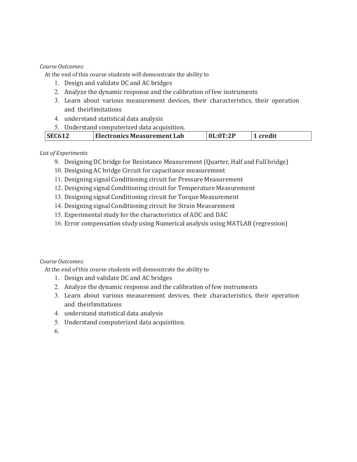#### Course Outcomes:

At the end of this course students will demonstrate the ability to

- 1. Design and validate DC and AC bridges
- 2. Analyze the dynamic response and the calibration of few instruments
- 3. Learn about various measurement devices, their characteristics, their operation and theirlimitations
- 4. understand statistical data analysis
- 5. Understand computerized data acquisition.

|  | $\sqrt{\text{SFG612}}$ | <b>Electronics Measurement Lab</b> | р. 9 г | credit |
|--|------------------------|------------------------------------|--------|--------|
|--|------------------------|------------------------------------|--------|--------|

#### List of Experiments

- 9. Designing DC bridge for Resistance Measurement (Quarter, Half and Full bridge)
- 10. Designing AC bridge Circuit for capacitance measurement
- 11. Designing signal Conditioning circuit for Pressure Measurement
- 12. Designing signal Conditioning circuit for Temperature Measurement
- 13. Designing signal Conditioning circuit for Torque Measurement
- 14. Designing signal Conditioning circuit for Strain Measurement
- 15. Experimental study for the characteristics of ADC and DAC
- 16. Error compensation study using Numerical analysis using MATLAB (regression)

#### Course Outcomes:

At the end of this course students will demonstrate the ability to

- 1. Design and validate DC and AC bridges
- 2. Analyze the dynamic response and the calibration of few instruments
- 3. Learn about various measurement devices, their characteristics, their operation and theirlimitations
- 4. understand statistical data analysis
- 5. Understand computerized data acquisition.
- 6.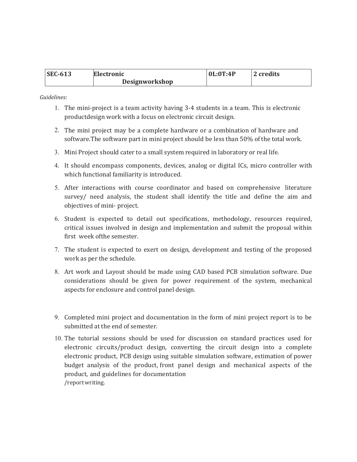| <b>SEC-613</b> | Electronic     | 0L:0T:4P | 2 credits |
|----------------|----------------|----------|-----------|
|                | Designworkshop |          |           |

Guidelines:

- 1. The mini-project is a team activity having 3-4 students in a team. This is electronic product design work with a focus on electronic circuit design.
- 2. The mini project may be a complete hardware or a combination of hardware and software. The software part in mini project should be less than 50% of the total work.
- 3. Mini Project should cater to a small system required in laboratory or real life.
- 4. It should encompass components, devices, analog or digital ICs, micro controller with which functional familiarity is introduced.
- 5. After interactions with course coordinator and based on comprehensive literature survey/ need analysis, the student shall identify the title and define the aim and objectives of mini- project.
- 6. Student is expected to detail out specifications, methodology, resources required, critical issues involved in design and implementation and submit the proposal within first week of the semester.
- 7. The student is expected to exert on design, development and testing of the proposed work as per the schedule.
- 8. Art work and Layout should be made using CAD based PCB simulation software. Due considerations should be given for power requirement of the system, mechanical aspects for enclosure and control panel design.
- 9. Completed mini project and documentation in the form of mini project report is to be submitted at the end of semester.
- 10. The tutorial sessions should be used for discussion on standard practices used for electronic circuits/product design, converting the circuit design into a complete electronic product, PCB design using suitable simulation software, estimation of power budget analysis of the product, front panel design and mechanical aspects of the product, and guidelines for documentation /report writing.